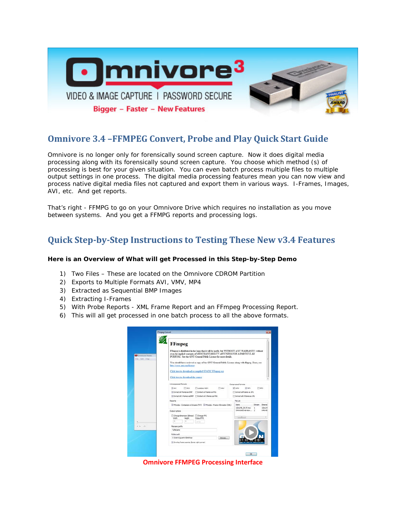

### **Omnivore 3.4 –FFMPEG Convert, Probe and Play Quick Start Guide**

Omnivore is no longer *only* for forensically sound screen capture. Now it does digital media processing along with its forensically sound screen capture. You choose which method (s) of processing is best for your given situation. You can even batch process multiple files to multiple output settings in one process. The digital media processing features mean you can now view and process native digital media files not captured and export them in various ways. I-Frames, Images, AVI, etc. And get reports.

That's right - FFMPG to go on your Omnivore Drive which requires no installation as you move between systems. And you get a FFMPG reports and processing logs.

## **Quick Step-by-Step Instructions to Testing These New v3.4 Features**

#### **Here is an Overview of What will get Processed in this Step-by-Step Demo**

- 1) Two Files These are located on the Omnivore CDROM Partition
- 2) Exports to Multiple Formats AVI, VMV, MP4
- 3) Extracted as Sequential BMP Images
- 4) Extracting I-Frames
- 5) With Probe Reports XML Frame Report and an FFmpeg Processing Report.
- 6) This will all get processed in one batch process to all the above formats.

|                                                   | <b>FFmpeg</b>                                                                                                                                                                                                                            |                                                            |
|---------------------------------------------------|------------------------------------------------------------------------------------------------------------------------------------------------------------------------------------------------------------------------------------------|------------------------------------------------------------|
| <b>C</b> Onnione Vener<br><b>File: Edit: Help</b> | FFmpeg is distributed in the hope that it will be useful, but WITHOUT ANY WARRANTY; without<br>even the implied warranty of MERCHANTABILITY of FITNESS FOR A PARTICULAR<br>PURPOSE. See the GNU General Public License for more details. |                                                            |
|                                                   | You should have recieved a copy of the GNU General Public License along with flingeg. If not, see<br>http://www.grgs.org/license                                                                                                         |                                                            |
|                                                   | Cick here to download a compiled STATIC FFmpeg exe                                                                                                                                                                                       |                                                            |
|                                                   | Cáck here to download the source                                                                                                                                                                                                         |                                                            |
|                                                   | Uncompressed formats                                                                                                                                                                                                                     | Congressed formats                                         |
|                                                   | <b>Wayt</b><br><b>FT MOV</b><br>Tit coolege H264<br><b>TT MAY</b>                                                                                                                                                                        | UR WHY<br><b>27 MIN</b><br>Files.                          |
|                                                   | Vi Extract al frames as BMP . El Extract al frames as PNG                                                                                                                                                                                | Extract al frames as 3PG                                   |
|                                                   | Fi Extract all I-frames as BHP Extract al I-frames as PNG                                                                                                                                                                                | El Extract al 1-frames as 3PG                              |
|                                                   | Reports                                                                                                                                                                                                                                  | <b>File List</b>                                           |
|                                                   | V (Forghe - Containers & Streams (Tx1) W (Victorine - Frame information (XML)                                                                                                                                                            | Name<br>Stream<br>Dimensi<br>320x240_29.97.mev 1<br>120×24 |
|                                                   | <b>Output options</b>                                                                                                                                                                                                                    | Onnivoir Overview 2<br>640x48                              |
|                                                   | El Change dimension (blinear) El Change FPS<br>Outbut PPS<br>Width<br>Height<br>$\alpha$<br>i n                                                                                                                                          | $4$ million                                                |
|                                                   |                                                                                                                                                                                                                                          |                                                            |
| $-1$                                              | <b>Nenane</b> prefix<br><b>SLASHAMA</b>                                                                                                                                                                                                  |                                                            |
|                                                   | Folder path                                                                                                                                                                                                                              |                                                            |
|                                                   | C: Users's puerro (Desktop<br>frowse                                                                                                                                                                                                     |                                                            |
|                                                   | // Overlay frame counter (lower right corner)                                                                                                                                                                                            | <b>IRON COMPUTER</b>                                       |

**Omnivore FFMPEG Processing Interface**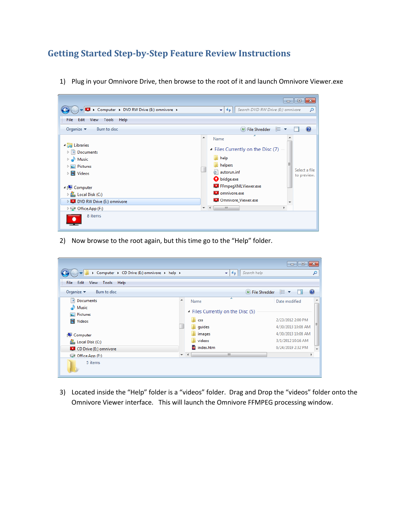## **Getting Started Step-by-Step Feature Review Instructions**



1) Plug in your Omnivore Drive, then browse to the root of it and launch Omnivore Viewer.exe

2) Now browse to the root again, but this time go to the "Help" folder.

|                                               |                     |                                                              | - 0 X                                        |
|-----------------------------------------------|---------------------|--------------------------------------------------------------|----------------------------------------------|
| ▶ Computer ▶ CD Drive (E:) omnivore ▶ help ▶  |                     | Search help<br>$++$<br>٠                                     | م                                            |
| <b>File</b><br>Edit<br>View<br>Help<br>Tools  |                     |                                                              |                                              |
| Organize $\blacktriangledown$<br>Burn to disc |                     | $\left(\mathsf{u}\right)$ File Shredder                      | $\mathbf Q$<br>- 龍→                          |
| 驾<br>Documents                                |                     | ≖<br>Name                                                    | ۰<br>Date modified                           |
| Music<br>Pictures<br>$\blacksquare$ Videos    |                     | Files Currently on the Disc (5)<br>css<br><b>July guides</b> | 2/23/2012 2:00 PM<br>Ξ<br>4/30/2013 10:08 AM |
| Computer                                      |                     | images                                                       | 4/30/2013 10:08 AM                           |
| Local Disk (C:)                               |                     | videos                                                       | 3/1/2012 10:16 AM                            |
| CD Drive (E:) omnivore                        |                     | index.htm                                                    | 6/24/2019 2:32 PM<br>÷                       |
| $\Box$ Office.App (F:)                        | $\overline{\nabla}$ | m.<br>$\overline{4}$                                         |                                              |
| 5 items                                       |                     |                                                              |                                              |

3) Located inside the "Help" folder is a "videos" folder. Drag and Drop the "videos" folder onto the Omnivore Viewer interface. This will launch the Omnivore FFMPEG processing window.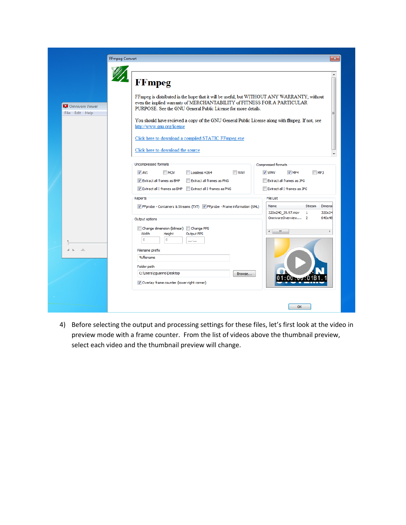| <b>FFmpeg Convert</b>             |                                                                                                                                                                                                                                          | $\overline{\mathbf{x}}$                                                         |
|-----------------------------------|------------------------------------------------------------------------------------------------------------------------------------------------------------------------------------------------------------------------------------------|---------------------------------------------------------------------------------|
|                                   |                                                                                                                                                                                                                                          |                                                                                 |
|                                   | <b>FFmpeg</b>                                                                                                                                                                                                                            | ▲                                                                               |
| Omnivore Viewer<br>File Edit Help | FFmpeg is distributed in the hope that it will be useful, but WITHOUT ANY WARRANTY; without<br>even the implied warranty of MERCHANTABILITY of FITNESS FOR A PARTICULAR<br>PURPOSE. See the GNU General Public License for more details. | Ξ                                                                               |
|                                   | You should have recieved a copy of the GNU General Public License along with ffinneg. If not, see<br>http://www.gnu.org/license                                                                                                          |                                                                                 |
|                                   | Click here to download a compiled STATIC FFmpeg.exe                                                                                                                                                                                      |                                                                                 |
|                                   | Click here to download the source                                                                                                                                                                                                        |                                                                                 |
|                                   | <b>Uncompressed formats</b><br><b>NAV</b><br>$\triangledown$ AVI<br>$\Box$ MOV<br>Lossless H264                                                                                                                                          | <b>Compressed formats</b><br>V WMV<br>$\nabla$ MP4<br>$\Box$ MP3                |
|                                   | Extract all frames as PNG<br>V Extract all frames as BMP<br>Extract all I-frames as BMP Extract all I-frames as PNG                                                                                                                      | Extract all frames as JPG<br>Extract all I-frames as JPG                        |
|                                   | Reports                                                                                                                                                                                                                                  | File List                                                                       |
|                                   | TV FFprobe - Containers & Streams (TXT) TV FFprobe - Frame information (XML)                                                                                                                                                             | <b>Name</b><br>Stream<br>Dimensi<br>320x240 29.97.mov<br>320x24<br>$\mathbf{1}$ |
|                                   | Output options                                                                                                                                                                                                                           | OmnivoreOverview 2<br>640x48                                                    |
|                                   | Change dimension (bilinear) Change FPS<br>Width<br>Height<br><b>Output FPS</b><br>$\Omega$<br>$\mathbf{0}$<br>u.                                                                                                                         | $\leftarrow$ $\mathbb{H}$<br>Þ                                                  |
| $\Delta \mathbf{k}$<br>$A - b$    | Filename prefix                                                                                                                                                                                                                          |                                                                                 |
|                                   | %filename                                                                                                                                                                                                                                |                                                                                 |
|                                   | Folder path                                                                                                                                                                                                                              |                                                                                 |
|                                   | C:\Users\cguarino\Desktop<br>Browse<br>Overlay frame counter (lower right corner)                                                                                                                                                        | 01.00 - 1018                                                                    |
|                                   |                                                                                                                                                                                                                                          |                                                                                 |
|                                   |                                                                                                                                                                                                                                          |                                                                                 |

4) Before selecting the output and processing settings for these files, let's first look at the video in preview mode with a frame counter. From the list of videos above the thumbnail preview, select each video and the thumbnail preview will change.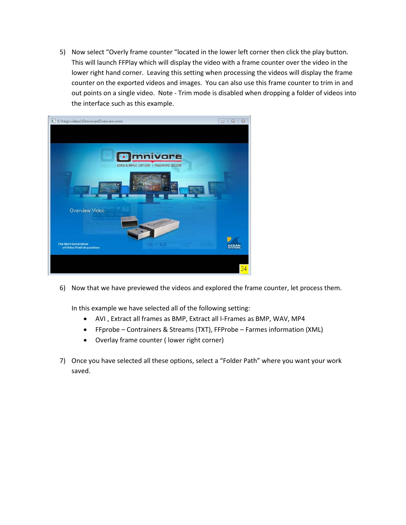5) Now select "Overly frame counter "located in the lower left corner then click the play button. This will launch FFPlay which will display the video with a frame counter over the video in the lower right hand corner. Leaving this setting when processing the videos will display the frame counter on the exported videos and images. You can also use this frame counter to trim in and out points on a single video. Note - Trim mode is disabled when dropping a folder of videos into the interface such as this example.



6) Now that we have previewed the videos and explored the frame counter, let process them.

In this example we have selected all of the following setting:

- AVI , Extract all frames as BMP, Extract all I-Frames as BMP, WAV, MP4
- FFprobe Contrainers & Streams (TXT), FFProbe Farmes information (XML)
- Overlay frame counter ( lower right corner)
- 7) Once you have selected all these options, select a "Folder Path" where you want your work saved.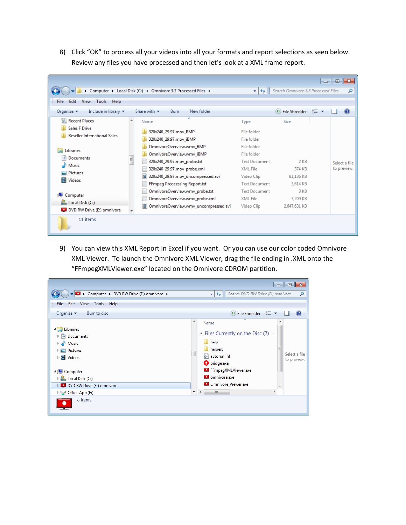8) Click "OK" to process all your videos into all your formats and report selections as seen below. Review any files you have processed and then let's look at a XML frame report.

|                                                                          |   |                                                              |                      | Search Omnivore 3.3 Processed Files |       | $-x$<br>$\overline{\phantom{a}}$ $\overline{\phantom{a}}$ |
|--------------------------------------------------------------------------|---|--------------------------------------------------------------|----------------------|-------------------------------------|-------|-----------------------------------------------------------|
|                                                                          |   | Computer > Local Disk (C:) > Omnivore 3.3 Processed Files >  | $+$<br>۰I            |                                     |       | α                                                         |
| Help<br>Edit<br>View<br>Tools<br>File                                    |   |                                                              |                      |                                     |       |                                                           |
| Organize $\blacktriangledown$<br>Include in library $\blacktriangledown$ |   | Share with $\blacktriangledown$<br><b>Burn</b><br>New folder |                      | (U) File Shredder                   | 988 ▼ | $\mathbf Q$                                               |
| 雷<br><b>Recent Places</b>                                                | ▲ | ≖<br>Name                                                    | Type                 | <b>Size</b>                         |       |                                                           |
| <b>Sales F Drive</b>                                                     |   | 320x240_29.97.mov_BMP                                        | File folder          |                                     |       |                                                           |
| <b>Reseller International Sales</b>                                      |   | 320x240_29.97.mov_iBMP                                       | File folder          |                                     |       |                                                           |
|                                                                          |   | OmnivoreOverview.wmv_BMP                                     | File folder          |                                     |       |                                                           |
| <b>Libraries</b>                                                         |   | OmnivoreOverview.wmv_iBMP                                    | File folder          |                                     |       |                                                           |
| <b>Documents</b><br>÷,                                                   | 티 | 320x240_29.97.mov_probe.txt                                  | <b>Text Document</b> | $2$ KB                              |       | Select a file                                             |
| Music                                                                    |   | 320x240_29.97.mov_probe.xml                                  | <b>XML File</b>      | 374 KB                              |       | to preview.                                               |
| Pictures                                                                 |   | 320x240_29.97.mov_uncompressed.avi<br>圖                      | Video Clip           | 81,136 KB                           |       |                                                           |
| Ħ<br><b>Videos</b>                                                       |   | FFmpeg Preocessing Report.txt                                | <b>Text Document</b> | 3.614 KB                            |       |                                                           |
|                                                                          |   | OmnivoreOverview.wmv_probe.txt                               | <b>Text Document</b> | 3 KB                                |       |                                                           |
| Computer                                                                 |   | OmnivoreOverview.wmv_probe.xml                               | <b>XML File</b>      | 3,209 KB                            |       |                                                           |
| Local Disk (C:)<br>DVD RW Drive (E:) omnivore                            |   | ■ OmnivoreOverview.wmv_uncompressed.avi                      | Video Clip           | 2,647,631 KB                        |       |                                                           |
| 11 items                                                                 |   |                                                              |                      |                                     |       |                                                           |

9) You can view this XML Report in Excel if you want. Or you can use our color coded Omnivore XML Viewer. To launch the Omnivore XML Viewer, drag the file ending in .XML onto the "FFmpegXMLViewer.exe" located on the Omnivore CDROM partition.

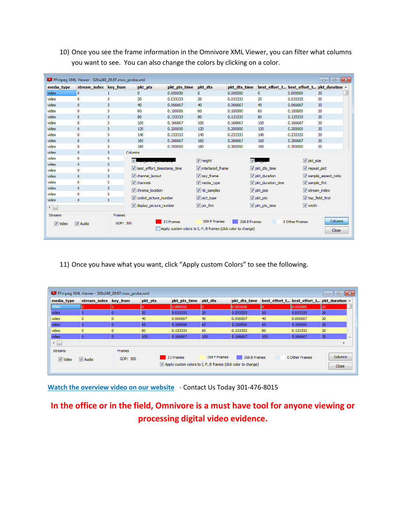|              | FFmpeg XML Viewer - 320x240_29.97.mov_probe.xml |              |                            |                                                               |                    |                |                              |                          | $\Box$ X<br>o ll                           |
|--------------|-------------------------------------------------|--------------|----------------------------|---------------------------------------------------------------|--------------------|----------------|------------------------------|--------------------------|--------------------------------------------|
| media type   | stream index key fram                           |              | pkt_pts                    | pkt pts time                                                  | pkt dts            | pkt dts time   |                              |                          | best effort t best effort t pkt duration ^ |
| video        | 0                                               | 1            | $\mathbf{0}$               | 0.000000                                                      | 0                  | 0.000000       | 0                            | 0.000000                 | 20                                         |
| video        | 0                                               | $\circ$      | 20                         | 0.033333                                                      | 20                 | 0.033333       | 20                           | 0.033333                 | 20                                         |
| video        | $\mathbf{0}$                                    | $\mathbf{0}$ | 40                         | 0.066667                                                      | 40                 | 0.066667       | 40                           | 0.066667                 | 20                                         |
| video        | 0                                               | $\circ$      | 60                         | 0.100000                                                      | 60                 | 0.100000       | 60                           | 0.100000                 | 20                                         |
| video        | $\circ$                                         | $\circ$      | 80                         | 0.133333                                                      | 80                 | 0.133333       | 80                           | 0.133333                 | 20                                         |
| video        | o                                               | $\circ$      | 100                        | 0.166667                                                      | 100                | 0.166667       | 100                          | 0.166667                 | 20                                         |
| video        | $\mathbf{0}$                                    | $\mathbf{0}$ | 120                        | 0.200000                                                      | 120                | 0.200000       | 120                          | 0.200000                 | 20                                         |
| video        | o                                               | $\circ$      | 140                        | 0.233333                                                      | 140                | 0.233333       | 140                          | 0.233333                 | 20                                         |
| video        | $\circ$                                         | $\mathbf{0}$ | 160                        | 0.266667                                                      | 160                | 0.266667       | 160                          | 0.266667                 | 20                                         |
| video        | o                                               | $\circ$      | 180                        | 0.300000                                                      | 180                | 0.300000       | 180                          | 0.300000                 | 20                                         |
| video        | $\mathbf{0}$                                    | $\mathbf{0}$ | Columns                    |                                                               |                    |                |                              |                          |                                            |
| video        | 0                                               | 0            | $\overline{J}$             |                                                               | $\sqrt{ }$ height  | $\overline{v}$ |                              | $\triangledown$ pkt_size |                                            |
| video        | $\circ$                                         | $\circ$      |                            |                                                               |                    |                |                              |                          |                                            |
| video        | $\circ$                                         | $\mathbf{0}$ | best_effort_timestamp_time |                                                               | V interlaced frame |                | Iv pkt dts time              | repeat_pict              |                                            |
| video        | $\circ$                                         | $\circ$      | V channel layout           |                                                               | key_frame          |                | $\triangledown$ pkt duration |                          | V sample aspect ratio                      |
| video        | $\mathbf{0}$                                    | $\circ$      | $\triangledown$ channels   |                                                               | V media type       |                | pkt duration time            | V sample fmt             |                                            |
| video        | $\circ$                                         | $\circ$      | v chroma_location          |                                                               | V nb_samples       |                | $\triangledown$ pkt pos      |                          | $V$ stream_index                           |
| video        | $\mathbf{0}$                                    | $\circ$      |                            |                                                               |                    |                | $\triangledown$ pkt pts      |                          | top field first                            |
| video        | $\mathbf{0}$                                    | $\mathbf{0}$ | coded picture number       |                                                               | pict_type          |                |                              |                          |                                            |
| $\leftarrow$ |                                                 |              | display_picture_number     |                                                               | V pix_fmt          |                | pkt_pts_time                 | V width                  |                                            |
| Streams      |                                                 | Frames       |                            |                                                               |                    |                |                              |                          |                                            |
| V Video      | <b>V</b> Audio                                  | GOP: 300     |                            | 3 I Frames                                                    | 359 P Frames       | 358 B Frames   |                              | 0 Other Frames           | Columns                                    |
|              |                                                 |              |                            | Apply custom colors to I, P, B frames (click color to change) |                    |                |                              |                          | Close                                      |
|              |                                                 |              |                            |                                                               |                    |                |                              |                          |                                            |

10) Once you see the frame information in the Omnivore XML Viewer, you can filter what columns you want to see. You can also change the colors by clicking on a color.

11) Once you have what you want, click "Apply custom Colors" to see the following.

| video   |                |          |     |            |              | pkt dts time |     | best_effort_t best_effort_t pkt_duration ^ |         |
|---------|----------------|----------|-----|------------|--------------|--------------|-----|--------------------------------------------|---------|
|         |                |          |     | 10.000000  | IO           | 10.000000    |     | 10.000000                                  | E20     |
| video   | o              |          | 20  | 0.033333   | 20           | 0.033333     | 20  | 0.033333                                   | 20      |
| video   | $\mathbf{0}$   | O        | 40  | 0.066667   | 40           | 0.066667     | 40  | 0.066667                                   | 20      |
| video   | o              |          | 60  | 0.100000   | 60           | 0.100000     | 60  | 0.100000                                   | 20      |
| video   | $\mathbf{0}$   | $\Omega$ | 80  | 0.133333   | 80           | 0.133333     | 80  | 0.133333                                   | 20      |
| video   | o              |          | 100 | 0.166667   | 100          | 0.166667     | 100 | 0.166667                                   | 20      |
| ←⊫      |                |          |     |            |              |              |     |                                            |         |
| Streams |                | Frames   |     |            |              |              |     |                                            |         |
| V Video | <b>V</b> Audio | GOP: 300 |     | 3 I Frames | 359 P Frames | 358 B Frames |     | 0 Other Frames                             | Columns |

**[Watch the overview video on our website](https://store.oceansystems.com/product/omnivore-portable-forensic-digital-video-processing-and-screen-capture-tool/#tab-videos)** - Contact Us Today 301-476-8015

# **In the office or in the field, Omnivore is a must have tool for anyone viewing or processing digital video evidence.**